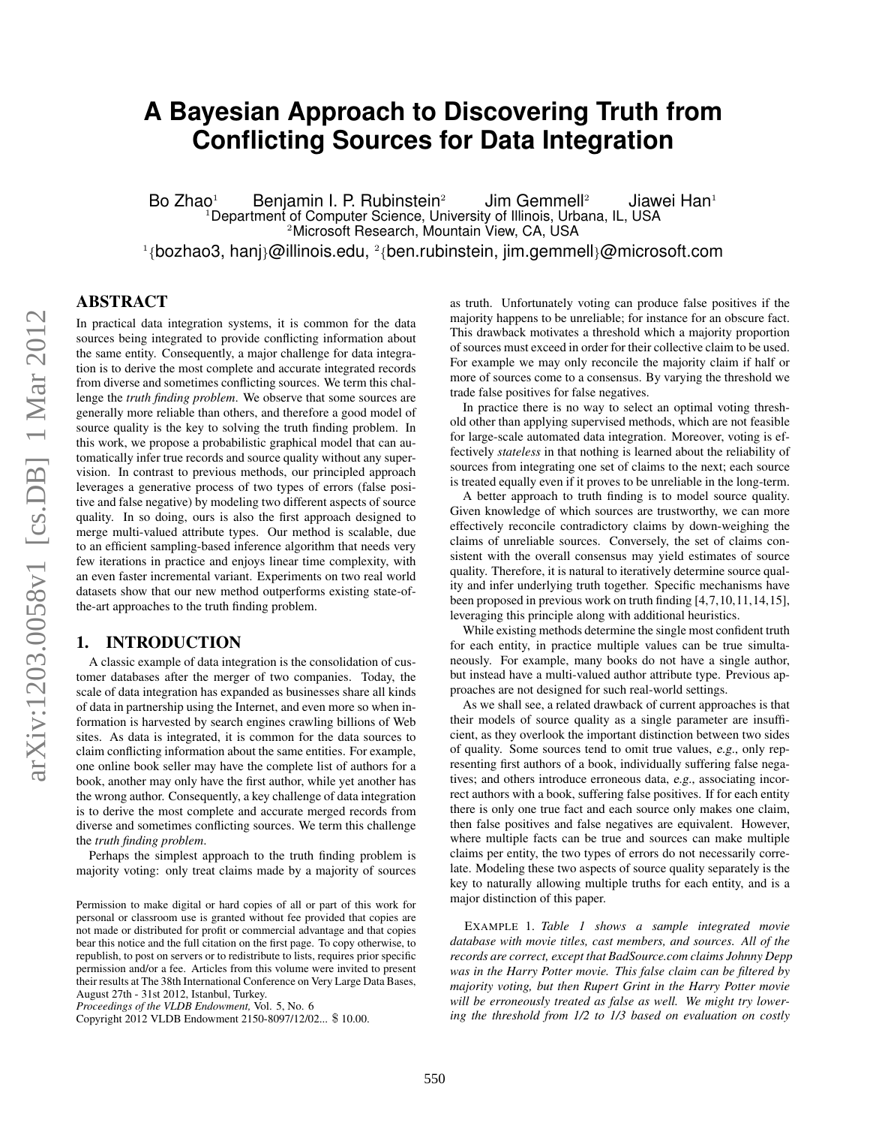# **A Bayesian Approach to Discovering Truth from Conflicting Sources for Data Integration**

Bo Zhao<sup>1</sup> Benjamin I. P. Rubinstein<sup>2</sup> Jim Gemmell<sup>2</sup> Jiawei Han<sup>1</sup> <sup>1</sup>Department of Computer Science, University of Illinois, Urbana, IL, USA <sup>2</sup>Microsoft Research, Mountain View, CA, USA  $^{\rm 1}\{$ bozhao $3$ , hanj}@illinois.edu,  $^{\rm 2}\{$ ben.rubinstein, jim.gemmell}@microsoft.com

ABSTRACT

In practical data integration systems, it is common for the data sources being integrated to provide conflicting information about the same entity. Consequently, a major challenge for data integration is to derive the most complete and accurate integrated records from diverse and sometimes conflicting sources. We term this challenge the *truth finding problem*. We observe that some sources are generally more reliable than others, and therefore a good model of source quality is the key to solving the truth finding problem. In this work, we propose a probabilistic graphical model that can automatically infer true records and source quality without any supervision. In contrast to previous methods, our principled approach leverages a generative process of two types of errors (false positive and false negative) by modeling two different aspects of source quality. In so doing, ours is also the first approach designed to merge multi-valued attribute types. Our method is scalable, due to an efficient sampling-based inference algorithm that needs very few iterations in practice and enjoys linear time complexity, with an even faster incremental variant. Experiments on two real world datasets show that our new method outperforms existing state-ofthe-art approaches to the truth finding problem.

# 1. INTRODUCTION

A classic example of data integration is the consolidation of customer databases after the merger of two companies. Today, the scale of data integration has expanded as businesses share all kinds of data in partnership using the Internet, and even more so when information is harvested by search engines crawling billions of Web sites. As data is integrated, it is common for the data sources to claim conflicting information about the same entities. For example, one online book seller may have the complete list of authors for a book, another may only have the first author, while yet another has the wrong author. Consequently, a key challenge of data integration is to derive the most complete and accurate merged records from diverse and sometimes conflicting sources. We term this challenge the *truth finding problem*.

Perhaps the simplest approach to the truth finding problem is majority voting: only treat claims made by a majority of sources

*Proceedings of the VLDB Endowment,* Vol. 5, No. 6

Copyright 2012 VLDB Endowment 2150-8097/12/02... \$ 10.00.

as truth. Unfortunately voting can produce false positives if the majority happens to be unreliable; for instance for an obscure fact. This drawback motivates a threshold which a majority proportion of sources must exceed in order for their collective claim to be used. For example we may only reconcile the majority claim if half or more of sources come to a consensus. By varying the threshold we trade false positives for false negatives.

In practice there is no way to select an optimal voting threshold other than applying supervised methods, which are not feasible for large-scale automated data integration. Moreover, voting is effectively *stateless* in that nothing is learned about the reliability of sources from integrating one set of claims to the next; each source is treated equally even if it proves to be unreliable in the long-term.

A better approach to truth finding is to model source quality. Given knowledge of which sources are trustworthy, we can more effectively reconcile contradictory claims by down-weighing the claims of unreliable sources. Conversely, the set of claims consistent with the overall consensus may yield estimates of source quality. Therefore, it is natural to iteratively determine source quality and infer underlying truth together. Specific mechanisms have been proposed in previous work on truth finding [4,7,10,11,14,15], leveraging this principle along with additional heuristics.

While existing methods determine the single most confident truth for each entity, in practice multiple values can be true simultaneously. For example, many books do not have a single author, but instead have a multi-valued author attribute type. Previous approaches are not designed for such real-world settings.

As we shall see, a related drawback of current approaches is that their models of source quality as a single parameter are insufficient, as they overlook the important distinction between two sides of quality. Some sources tend to omit true values, e.g., only representing first authors of a book, individually suffering false negatives; and others introduce erroneous data, e.g., associating incorrect authors with a book, suffering false positives. If for each entity there is only one true fact and each source only makes one claim, then false positives and false negatives are equivalent. However, where multiple facts can be true and sources can make multiple claims per entity, the two types of errors do not necessarily correlate. Modeling these two aspects of source quality separately is the key to naturally allowing multiple truths for each entity, and is a major distinction of this paper.

EXAMPLE 1. *Table 1 shows a sample integrated movie database with movie titles, cast members, and sources. All of the records are correct, except that BadSource.com claims Johnny Depp was in the Harry Potter movie. This false claim can be filtered by majority voting, but then Rupert Grint in the Harry Potter movie will be erroneously treated as false as well. We might try lowering the threshold from 1/2 to 1/3 based on evaluation on costly*

Permission to make digital or hard copies of all or part of this work for personal or classroom use is granted without fee provided that copies are not made or distributed for profit or commercial advantage and that copies bear this notice and the full citation on the first page. To copy otherwise, to republish, to post on servers or to redistribute to lists, requires prior specific permission and/or a fee. Articles from this volume were invited to present their results at The 38th International Conference on Very Large Data Bases, August 27th - 31st 2012, Istanbul, Turkey.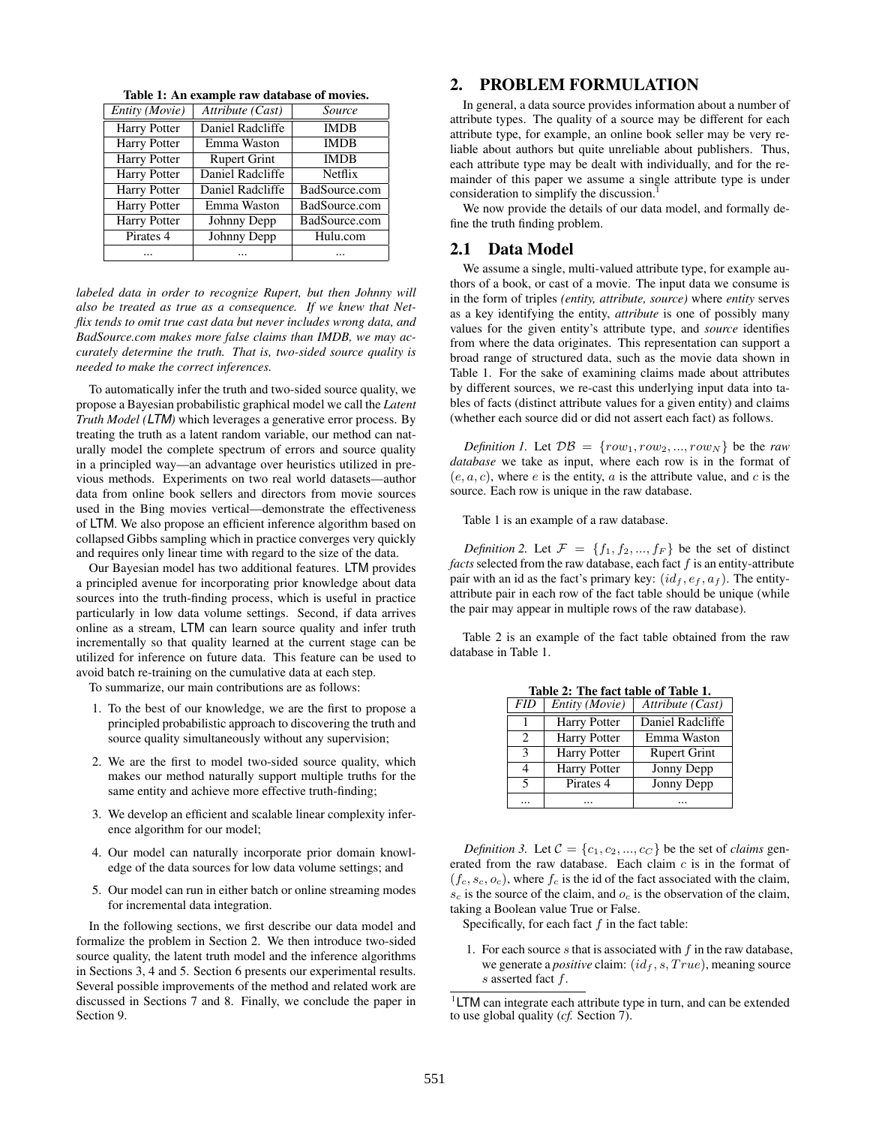| Entity (Movie)      | Attribute (Cast)    | Source        |
|---------------------|---------------------|---------------|
| Harry Potter        | Daniel Radcliffe    | <b>IMDB</b>   |
| Harry Potter        | Emma Waston         | <b>IMDB</b>   |
| <b>Harry Potter</b> | <b>Rupert Grint</b> | <b>IMDB</b>   |
| Harry Potter        | Daniel Radcliffe    | Netflix       |
| Harry Potter        | Daniel Radcliffe    | BadSource.com |
| <b>Harry Potter</b> | Emma Waston         | BadSource.com |
| <b>Harry Potter</b> | Johnny Depp         | BadSource.com |
| Pirates 4           | Johnny Depp         | Hulu.com      |
|                     |                     |               |

Table 1: An example raw database of movies.

*labeled data in order to recognize Rupert, but then Johnny will also be treated as true as a consequence. If we knew that Netflix tends to omit true cast data but never includes wrong data, and BadSource.com makes more false claims than IMDB, we may accurately determine the truth. That is, two-sided source quality is needed to make the correct inferences.*

To automatically infer the truth and two-sided source quality, we propose a Bayesian probabilistic graphical model we call the *Latent Truth Model (LTM)* which leverages a generative error process. By treating the truth as a latent random variable, our method can naturally model the complete spectrum of errors and source quality in a principled way—an advantage over heuristics utilized in previous methods. Experiments on two real world datasets—author data from online book sellers and directors from movie sources used in the Bing movies vertical—demonstrate the effectiveness of LTM. We also propose an efficient inference algorithm based on collapsed Gibbs sampling which in practice converges very quickly and requires only linear time with regard to the size of the data.

Our Bayesian model has two additional features. LTM provides a principled avenue for incorporating prior knowledge about data sources into the truth-finding process, which is useful in practice particularly in low data volume settings. Second, if data arrives online as a stream, LTM can learn source quality and infer truth incrementally so that quality learned at the current stage can be utilized for inference on future data. This feature can be used to avoid batch re-training on the cumulative data at each step.

To summarize, our main contributions are as follows:

- 1. To the best of our knowledge, we are the first to propose a principled probabilistic approach to discovering the truth and source quality simultaneously without any supervision;
- 2. We are the first to model two-sided source quality, which makes our method naturally support multiple truths for the same entity and achieve more effective truth-finding;
- 3. We develop an efficient and scalable linear complexity inference algorithm for our model;
- 4. Our model can naturally incorporate prior domain knowledge of the data sources for low data volume settings; and
- 5. Our model can run in either batch or online streaming modes for incremental data integration.

In the following sections, we first describe our data model and formalize the problem in Section 2. We then introduce two-sided source quality, the latent truth model and the inference algorithms in Sections 3, 4 and 5. Section 6 presents our experimental results. Several possible improvements of the method and related work are discussed in Sections 7 and 8. Finally, we conclude the paper in Section 9.

# 2. PROBLEM FORMULATION

In general, a data source provides information about a number of attribute types. The quality of a source may be different for each attribute type, for example, an online book seller may be very reliable about authors but quite unreliable about publishers. Thus, each attribute type may be dealt with individually, and for the remainder of this paper we assume a single attribute type is under consideration to simplify the discussion.<sup>1</sup>

We now provide the details of our data model, and formally define the truth finding problem.

#### 2.1 Data Model

We assume a single, multi-valued attribute type, for example authors of a book, or cast of a movie. The input data we consume is in the form of triples *(entity, attribute, source)* where *entity* serves as a key identifying the entity, *attribute* is one of possibly many values for the given entity's attribute type, and *source* identifies from where the data originates. This representation can support a broad range of structured data, such as the movie data shown in Table 1. For the sake of examining claims made about attributes by different sources, we re-cast this underlying input data into tables of facts (distinct attribute values for a given entity) and claims (whether each source did or did not assert each fact) as follows.

*Definition 1.* Let  $\mathcal{DB} = \{row_1, row_2, ..., row_N\}$  be the *raw database* we take as input, where each row is in the format of  $(e, a, c)$ , where e is the entity, a is the attribute value, and c is the source. Each row is unique in the raw database.

Table 1 is an example of a raw database.

*Definition 2.* Let  $\mathcal{F} = \{f_1, f_2, ..., f_F\}$  be the set of distinct  $facts$  selected from the raw database, each fact  $f$  is an entity-attribute pair with an id as the fact's primary key:  $(id_f, e_f, a_f)$ . The entityattribute pair in each row of the fact table should be unique (while the pair may appear in multiple rows of the raw database).

Table 2 is an example of the fact table obtained from the raw database in Table 1.

|                             | Table 2: The fact table of Table 1. |                     |  |  |  |  |  |
|-----------------------------|-------------------------------------|---------------------|--|--|--|--|--|
| FID                         | Entity (Movie)                      | Attribute (Cast)    |  |  |  |  |  |
|                             | <b>Harry Potter</b>                 | Daniel Radcliffe    |  |  |  |  |  |
| $\mathcal{D}_{\mathcal{L}}$ | <b>Harry Potter</b>                 | Emma Waston         |  |  |  |  |  |
| 3                           | <b>Harry Potter</b>                 | <b>Rupert Grint</b> |  |  |  |  |  |
| 4                           | <b>Harry Potter</b>                 | Jonny Depp          |  |  |  |  |  |
| 5                           | Pirates 4                           | Jonny Depp          |  |  |  |  |  |
|                             |                                     |                     |  |  |  |  |  |

Table 2: The fact table of Table 1.

*Definition 3.* Let  $C = \{c_1, c_2, ..., c_C\}$  be the set of *claims* generated from the raw database. Each claim  $c$  is in the format of  $(f_c, s_c, o_c)$ , where  $f_c$  is the id of the fact associated with the claim,  $s_c$  is the source of the claim, and  $o_c$  is the observation of the claim, taking a Boolean value True or False.

Specifically, for each fact  $f$  in the fact table:

1. For each source  $s$  that is associated with  $f$  in the raw database, we generate a *positive* claim:  $(id_f, s, True)$ , meaning source s asserted fact f.

<sup>&</sup>lt;sup>1</sup>LTM can integrate each attribute type in turn, and can be extended to use global quality (*cf.* Section 7).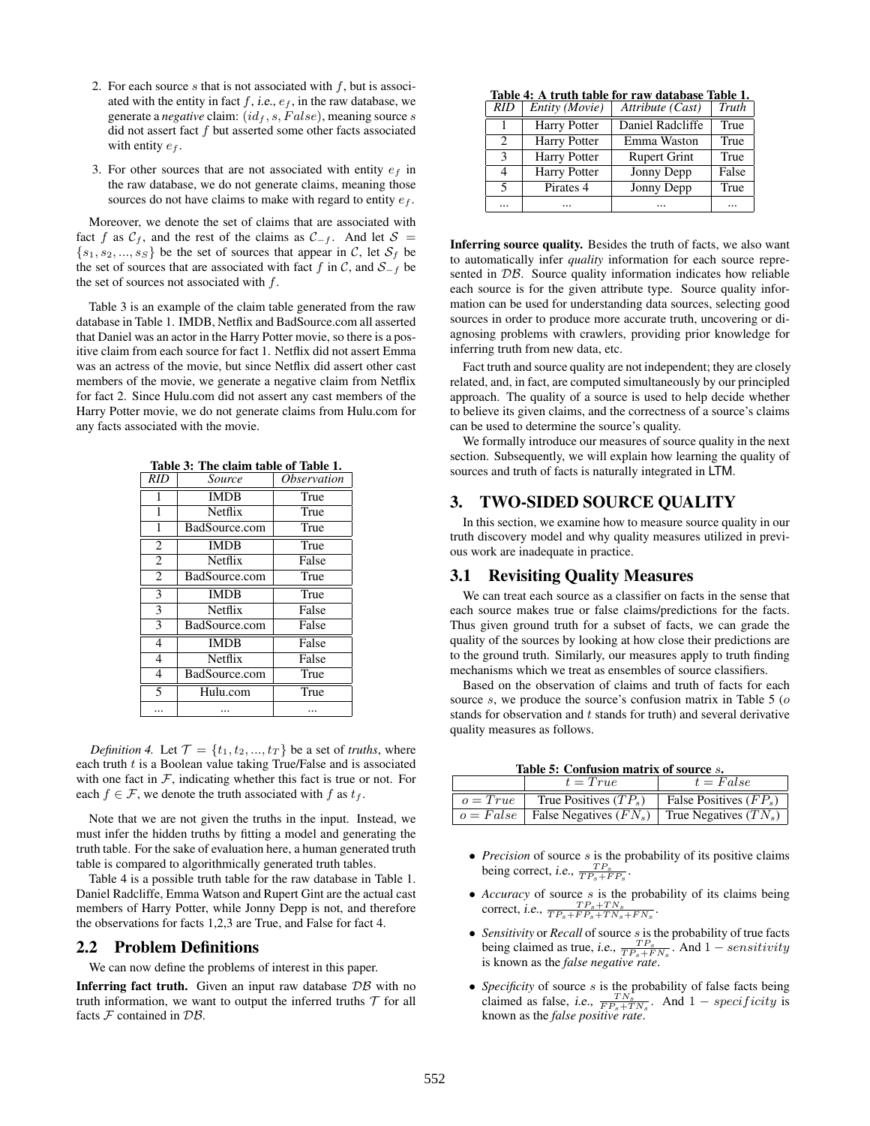- 2. For each source s that is not associated with  $f$ , but is associated with the entity in fact  $f$ , i.e.,  $e_f$ , in the raw database, we generate a *negative* claim:  $(id_f, s, False)$ , meaning source s did not assert fact  $f$  but asserted some other facts associated with entity  $e_f$ .
- 3. For other sources that are not associated with entity  $e_f$  in the raw database, we do not generate claims, meaning those sources do not have claims to make with regard to entity  $e_f$ .

Moreover, we denote the set of claims that are associated with fact f as  $C_f$ , and the rest of the claims as  $C_{-f}$ . And let  $S =$  $\{s_1, s_2, ..., s_S\}$  be the set of sources that appear in C, let  $S_f$  be the set of sources that are associated with fact f in  $\mathcal{C}$ , and  $\mathcal{S}_{-f}$  be the set of sources not associated with  $f$ .

Table 3 is an example of the claim table generated from the raw database in Table 1. IMDB, Netflix and BadSource.com all asserted that Daniel was an actor in the Harry Potter movie, so there is a positive claim from each source for fact 1. Netflix did not assert Emma was an actress of the movie, but since Netflix did assert other cast members of the movie, we generate a negative claim from Netflix for fact 2. Since Hulu.com did not assert any cast members of the Harry Potter movie, we do not generate claims from Hulu.com for any facts associated with the movie.

| <b>RID</b>               | Source        | <i><b>Observation</b></i> |
|--------------------------|---------------|---------------------------|
| 1                        | <b>IMDB</b>   | True                      |
| 1                        | Netflix       | True                      |
| 1                        | BadSource.com | True                      |
| $\overline{2}$           | <b>IMDB</b>   | True                      |
| $\overline{2}$           | Netflix       | False                     |
| $\overline{2}$           | BadSource.com | True                      |
| $\overline{\mathbf{3}}$  | <b>IMDB</b>   | True                      |
| $\overline{\mathbf{3}}$  | Netflix       | False                     |
| 3                        | BadSource.com | False                     |
| $\overline{4}$           | <b>IMDB</b>   | False                     |
| $\overline{4}$           | Netflix       | False                     |
| $\overline{4}$           | BadSource.com | True                      |
| $\overline{\phantom{0}}$ | Hulu.com      | True                      |
|                          |               |                           |

Table 3: The claim table of Table 1.

*Definition 4.* Let  $\mathcal{T} = \{t_1, t_2, ..., t_T\}$  be a set of *truths*, where each truth  $t$  is a Boolean value taking True/False and is associated with one fact in  $F$ , indicating whether this fact is true or not. For each  $f \in \mathcal{F}$ , we denote the truth associated with f as  $t_f$ .

Note that we are not given the truths in the input. Instead, we must infer the hidden truths by fitting a model and generating the truth table. For the sake of evaluation here, a human generated truth table is compared to algorithmically generated truth tables.

Table 4 is a possible truth table for the raw database in Table 1. Daniel Radcliffe, Emma Watson and Rupert Gint are the actual cast members of Harry Potter, while Jonny Depp is not, and therefore the observations for facts 1,2,3 are True, and False for fact 4.

#### 2.2 Problem Definitions

We can now define the problems of interest in this paper.

**Inferring fact truth.** Given an input raw database  $DB$  with no truth information, we want to output the inferred truths  $T$  for all facts  $F$  contained in  $DB$ .

Table 4: A truth table for raw database Table 1.

| RID            | Entity (Movie)      | Attribute (Cast)    | Truth |
|----------------|---------------------|---------------------|-------|
| 1              | Harry Potter        | Daniel Radcliffe    | True  |
| $\mathfrak{D}$ | <b>Harry Potter</b> | Emma Waston         | True  |
| $\mathcal{R}$  | <b>Harry Potter</b> | <b>Rupert Grint</b> | True  |
| 4              | <b>Harry Potter</b> | Jonny Depp          | False |
| 5              | Pirates 4           | Jonny Depp          | True  |
|                |                     |                     |       |

Inferring source quality. Besides the truth of facts, we also want to automatically infer *quality* information for each source represented in  $\mathcal{DB}$ . Source quality information indicates how reliable each source is for the given attribute type. Source quality information can be used for understanding data sources, selecting good sources in order to produce more accurate truth, uncovering or diagnosing problems with crawlers, providing prior knowledge for inferring truth from new data, etc.

Fact truth and source quality are not independent; they are closely related, and, in fact, are computed simultaneously by our principled approach. The quality of a source is used to help decide whether to believe its given claims, and the correctness of a source's claims can be used to determine the source's quality.

We formally introduce our measures of source quality in the next section. Subsequently, we will explain how learning the quality of sources and truth of facts is naturally integrated in LTM.

# 3. TWO-SIDED SOURCE QUALITY

In this section, we examine how to measure source quality in our truth discovery model and why quality measures utilized in previous work are inadequate in practice.

#### 3.1 Revisiting Quality Measures

We can treat each source as a classifier on facts in the sense that each source makes true or false claims/predictions for the facts. Thus given ground truth for a subset of facts, we can grade the quality of the sources by looking at how close their predictions are to the ground truth. Similarly, our measures apply to truth finding mechanisms which we treat as ensembles of source classifiers.

Based on the observation of claims and truth of facts for each source  $s$ , we produce the source's confusion matrix in Table 5 ( $o$ stands for observation and  $t$  stands for truth) and several derivative quality measures as follows.

Table 5: Confusion matrix of source s.

|            | $t = True$                                                               | $t = False$              |
|------------|--------------------------------------------------------------------------|--------------------------|
| $o = True$ | True Positives $(TP_s)$                                                  | False Positives $(FP_s)$ |
|            | $\vert o = False \vert$ False Negatives $(FN_s)$ True Negatives $(TN_s)$ |                          |

- *Precision* of source *s* is the probability of its positive claims being correct, i.e.,  $\frac{TP_s}{TP_s+FP_s}$ .
- *Accuracy* of source *s* is the probability of its claims being correct, i.e.,  $\frac{TP_s+TN_s}{TP_s+FP_s+TN_s+FN_s}$ .
- *Sensitivity* or *Recall* of source *s* is the probability of true facts being claimed as true, i.e.,  $\frac{TP_s}{TP_s+FN_s}$ . And  $1$  *sensitivity* is known as the *false negative rate*.
- *Specificity* of source *s* is the probability of false facts being claimed as false, i.e.,  $\frac{TN_s}{FP_s+TN_s}$ . And  $1 specificity$  is known as the *false positive rate*.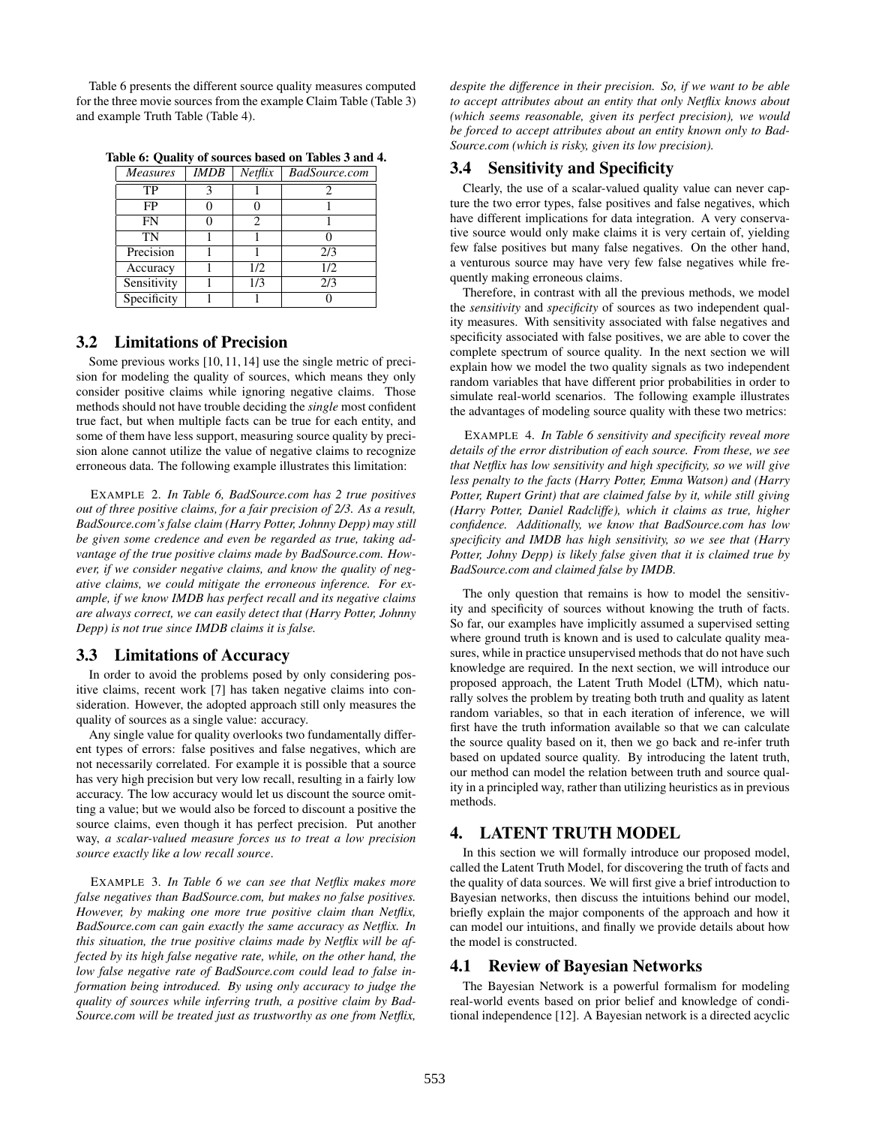Table 6 presents the different source quality measures computed for the three movie sources from the example Claim Table (Table 3) and example Truth Table (Table 4).

| <b>Measures</b> | <b>IMDB</b> | Netfix | BadSource.com |
|-----------------|-------------|--------|---------------|
| TP              |             |        |               |
| FP              |             |        |               |
| <b>FN</b>       |             | 2      |               |
| TN              |             |        |               |
| Precision       |             |        | 2/3           |
| Accuracy        |             | 1/2    | 1/2           |
| Sensitivity     |             | 1/3    | 2/3           |
| Specificity     |             |        |               |

Table 6: Quality of sources based on Tables 3 and 4.

#### 3.2 Limitations of Precision

Some previous works [10, 11, 14] use the single metric of precision for modeling the quality of sources, which means they only consider positive claims while ignoring negative claims. Those methods should not have trouble deciding the *single* most confident true fact, but when multiple facts can be true for each entity, and some of them have less support, measuring source quality by precision alone cannot utilize the value of negative claims to recognize erroneous data. The following example illustrates this limitation:

EXAMPLE 2. *In Table 6, BadSource.com has 2 true positives out of three positive claims, for a fair precision of 2/3. As a result, BadSource.com's false claim (Harry Potter, Johnny Depp) may still be given some credence and even be regarded as true, taking advantage of the true positive claims made by BadSource.com. However, if we consider negative claims, and know the quality of negative claims, we could mitigate the erroneous inference. For example, if we know IMDB has perfect recall and its negative claims are always correct, we can easily detect that (Harry Potter, Johnny Depp) is not true since IMDB claims it is false.*

#### 3.3 Limitations of Accuracy

In order to avoid the problems posed by only considering positive claims, recent work [7] has taken negative claims into consideration. However, the adopted approach still only measures the quality of sources as a single value: accuracy.

Any single value for quality overlooks two fundamentally different types of errors: false positives and false negatives, which are not necessarily correlated. For example it is possible that a source has very high precision but very low recall, resulting in a fairly low accuracy. The low accuracy would let us discount the source omitting a value; but we would also be forced to discount a positive the source claims, even though it has perfect precision. Put another way, *a scalar-valued measure forces us to treat a low precision source exactly like a low recall source*.

EXAMPLE 3. *In Table 6 we can see that Netflix makes more false negatives than BadSource.com, but makes no false positives. However, by making one more true positive claim than Netflix, BadSource.com can gain exactly the same accuracy as Netflix. In this situation, the true positive claims made by Netflix will be affected by its high false negative rate, while, on the other hand, the low false negative rate of BadSource.com could lead to false information being introduced. By using only accuracy to judge the quality of sources while inferring truth, a positive claim by Bad-Source.com will be treated just as trustworthy as one from Netflix,*

*despite the difference in their precision. So, if we want to be able to accept attributes about an entity that only Netflix knows about (which seems reasonable, given its perfect precision), we would be forced to accept attributes about an entity known only to Bad-Source.com (which is risky, given its low precision).*

# 3.4 Sensitivity and Specificity

Clearly, the use of a scalar-valued quality value can never capture the two error types, false positives and false negatives, which have different implications for data integration. A very conservative source would only make claims it is very certain of, yielding few false positives but many false negatives. On the other hand, a venturous source may have very few false negatives while frequently making erroneous claims.

Therefore, in contrast with all the previous methods, we model the *sensitivity* and *specificity* of sources as two independent quality measures. With sensitivity associated with false negatives and specificity associated with false positives, we are able to cover the complete spectrum of source quality. In the next section we will explain how we model the two quality signals as two independent random variables that have different prior probabilities in order to simulate real-world scenarios. The following example illustrates the advantages of modeling source quality with these two metrics:

EXAMPLE 4. *In Table 6 sensitivity and specificity reveal more details of the error distribution of each source. From these, we see that Netflix has low sensitivity and high specificity, so we will give less penalty to the facts (Harry Potter, Emma Watson) and (Harry Potter, Rupert Grint) that are claimed false by it, while still giving (Harry Potter, Daniel Radcliffe), which it claims as true, higher confidence. Additionally, we know that BadSource.com has low specificity and IMDB has high sensitivity, so we see that (Harry Potter, Johny Depp) is likely false given that it is claimed true by BadSource.com and claimed false by IMDB.*

The only question that remains is how to model the sensitivity and specificity of sources without knowing the truth of facts. So far, our examples have implicitly assumed a supervised setting where ground truth is known and is used to calculate quality measures, while in practice unsupervised methods that do not have such knowledge are required. In the next section, we will introduce our proposed approach, the Latent Truth Model (LTM), which naturally solves the problem by treating both truth and quality as latent random variables, so that in each iteration of inference, we will first have the truth information available so that we can calculate the source quality based on it, then we go back and re-infer truth based on updated source quality. By introducing the latent truth, our method can model the relation between truth and source quality in a principled way, rather than utilizing heuristics as in previous methods.

# 4. LATENT TRUTH MODEL

In this section we will formally introduce our proposed model, called the Latent Truth Model, for discovering the truth of facts and the quality of data sources. We will first give a brief introduction to Bayesian networks, then discuss the intuitions behind our model, briefly explain the major components of the approach and how it can model our intuitions, and finally we provide details about how the model is constructed.

#### 4.1 Review of Bayesian Networks

The Bayesian Network is a powerful formalism for modeling real-world events based on prior belief and knowledge of conditional independence [12]. A Bayesian network is a directed acyclic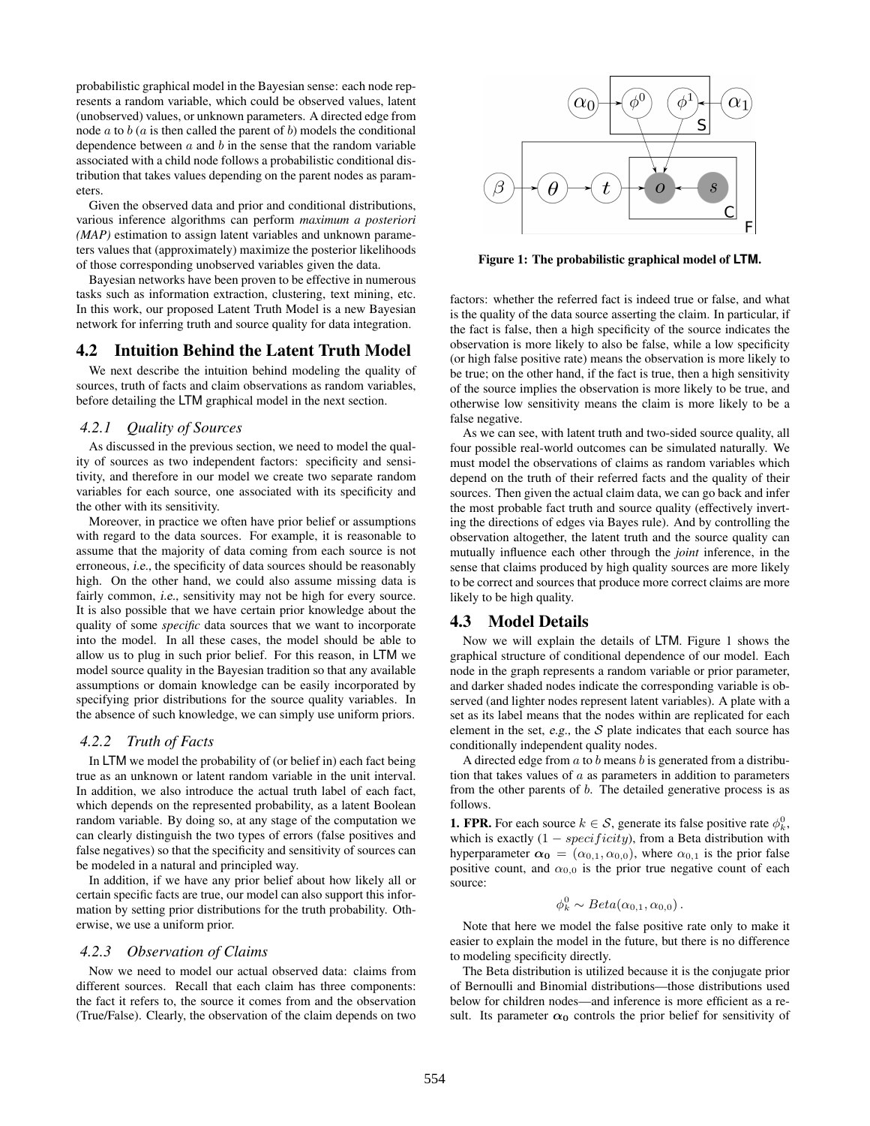probabilistic graphical model in the Bayesian sense: each node represents a random variable, which could be observed values, latent (unobserved) values, or unknown parameters. A directed edge from node  $a$  to  $b$  ( $a$  is then called the parent of  $b$ ) models the conditional dependence between  $a$  and  $b$  in the sense that the random variable associated with a child node follows a probabilistic conditional distribution that takes values depending on the parent nodes as parameters.

Given the observed data and prior and conditional distributions, various inference algorithms can perform *maximum a posteriori (MAP)* estimation to assign latent variables and unknown parameters values that (approximately) maximize the posterior likelihoods of those corresponding unobserved variables given the data.

Bayesian networks have been proven to be effective in numerous tasks such as information extraction, clustering, text mining, etc. In this work, our proposed Latent Truth Model is a new Bayesian network for inferring truth and source quality for data integration.

## 4.2 Intuition Behind the Latent Truth Model

We next describe the intuition behind modeling the quality of sources, truth of facts and claim observations as random variables, before detailing the LTM graphical model in the next section.

# *4.2.1 Quality of Sources*

As discussed in the previous section, we need to model the quality of sources as two independent factors: specificity and sensitivity, and therefore in our model we create two separate random variables for each source, one associated with its specificity and the other with its sensitivity.

Moreover, in practice we often have prior belief or assumptions with regard to the data sources. For example, it is reasonable to assume that the majority of data coming from each source is not erroneous, i.e., the specificity of data sources should be reasonably high. On the other hand, we could also assume missing data is fairly common, *i.e.*, sensitivity may not be high for every source. It is also possible that we have certain prior knowledge about the quality of some *specific* data sources that we want to incorporate into the model. In all these cases, the model should be able to allow us to plug in such prior belief. For this reason, in LTM we model source quality in the Bayesian tradition so that any available assumptions or domain knowledge can be easily incorporated by specifying prior distributions for the source quality variables. In the absence of such knowledge, we can simply use uniform priors.

#### *4.2.2 Truth of Facts*

In LTM we model the probability of (or belief in) each fact being true as an unknown or latent random variable in the unit interval. In addition, we also introduce the actual truth label of each fact, which depends on the represented probability, as a latent Boolean random variable. By doing so, at any stage of the computation we can clearly distinguish the two types of errors (false positives and false negatives) so that the specificity and sensitivity of sources can be modeled in a natural and principled way.

In addition, if we have any prior belief about how likely all or certain specific facts are true, our model can also support this information by setting prior distributions for the truth probability. Otherwise, we use a uniform prior.

#### *4.2.3 Observation of Claims*

Now we need to model our actual observed data: claims from different sources. Recall that each claim has three components: the fact it refers to, the source it comes from and the observation (True/False). Clearly, the observation of the claim depends on two



Figure 1: The probabilistic graphical model of **LTM**.

factors: whether the referred fact is indeed true or false, and what is the quality of the data source asserting the claim. In particular, if the fact is false, then a high specificity of the source indicates the observation is more likely to also be false, while a low specificity (or high false positive rate) means the observation is more likely to be true; on the other hand, if the fact is true, then a high sensitivity of the source implies the observation is more likely to be true, and otherwise low sensitivity means the claim is more likely to be a false negative.

As we can see, with latent truth and two-sided source quality, all four possible real-world outcomes can be simulated naturally. We must model the observations of claims as random variables which depend on the truth of their referred facts and the quality of their sources. Then given the actual claim data, we can go back and infer the most probable fact truth and source quality (effectively inverting the directions of edges via Bayes rule). And by controlling the observation altogether, the latent truth and the source quality can mutually influence each other through the *joint* inference, in the sense that claims produced by high quality sources are more likely to be correct and sources that produce more correct claims are more likely to be high quality.

#### 4.3 Model Details

Now we will explain the details of LTM. Figure 1 shows the graphical structure of conditional dependence of our model. Each node in the graph represents a random variable or prior parameter, and darker shaded nodes indicate the corresponding variable is observed (and lighter nodes represent latent variables). A plate with a set as its label means that the nodes within are replicated for each element in the set, e.g., the  $S$  plate indicates that each source has conditionally independent quality nodes.

A directed edge from  $a$  to  $b$  means  $b$  is generated from a distribution that takes values of  $a$  as parameters in addition to parameters from the other parents of  $b$ . The detailed generative process is as follows.

**1. FPR.** For each source  $k \in S$ , generate its false positive rate  $\phi_k^0$ , which is exactly  $(1 - specificity)$ , from a Beta distribution with hyperparameter  $\alpha_0 = (\alpha_{0,1}, \alpha_{0,0})$ , where  $\alpha_{0,1}$  is the prior false positive count, and  $\alpha_{0,0}$  is the prior true negative count of each source:

$$
\phi_k^0 \sim Beta(\alpha_{0,1}, \alpha_{0,0}).
$$

Note that here we model the false positive rate only to make it easier to explain the model in the future, but there is no difference to modeling specificity directly.

The Beta distribution is utilized because it is the conjugate prior of Bernoulli and Binomial distributions—those distributions used below for children nodes—and inference is more efficient as a result. Its parameter  $\alpha_0$  controls the prior belief for sensitivity of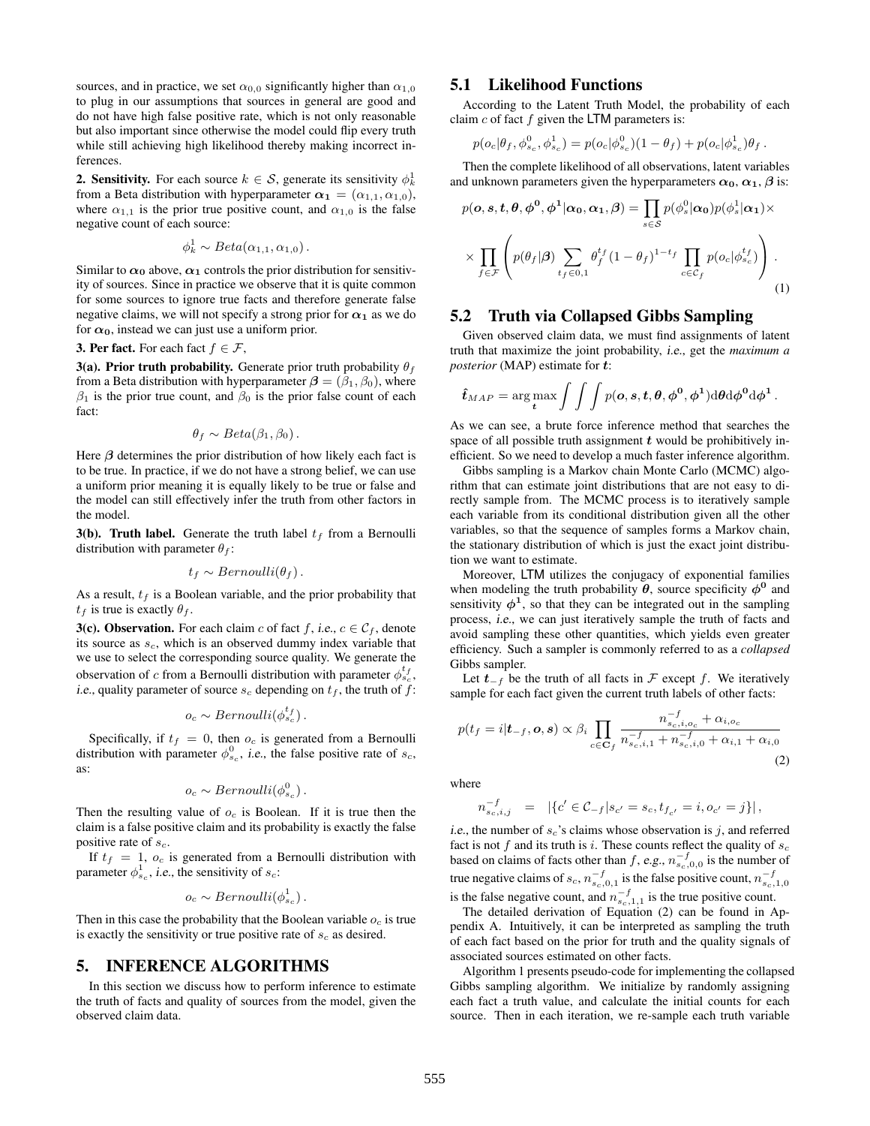sources, and in practice, we set  $\alpha_{0,0}$  significantly higher than  $\alpha_{1,0}$ to plug in our assumptions that sources in general are good and do not have high false positive rate, which is not only reasonable but also important since otherwise the model could flip every truth while still achieving high likelihood thereby making incorrect inferences.

**2. Sensitivity.** For each source  $k \in S$ , generate its sensitivity  $\phi_k^1$ from a Beta distribution with hyperparameter  $\alpha_1 = (\alpha_{1,1}, \alpha_{1,0}),$ where  $\alpha_{1,1}$  is the prior true positive count, and  $\alpha_{1,0}$  is the false negative count of each source:

$$
\phi_k^1 \sim Beta(\alpha_{1,1}, \alpha_{1,0}).
$$

Similar to  $\alpha_0$  above,  $\alpha_1$  controls the prior distribution for sensitivity of sources. Since in practice we observe that it is quite common for some sources to ignore true facts and therefore generate false negative claims, we will not specify a strong prior for  $\alpha_1$  as we do for  $\alpha_0$ , instead we can just use a uniform prior.

**3. Per fact.** For each fact  $f \in \mathcal{F}$ ,

3(a). Prior truth probability. Generate prior truth probability  $\theta_f$ from a Beta distribution with hyperparameter  $\boldsymbol{\beta} = (\beta_1, \beta_0)$ , where  $\beta_1$  is the prior true count, and  $\beta_0$  is the prior false count of each fact:

$$
\theta_f \sim Beta(\beta_1, \beta_0).
$$

Here  $\beta$  determines the prior distribution of how likely each fact is to be true. In practice, if we do not have a strong belief, we can use a uniform prior meaning it is equally likely to be true or false and the model can still effectively infer the truth from other factors in the model.

3(b). Truth label. Generate the truth label  $t_f$  from a Bernoulli distribution with parameter  $\theta_f$ :

$$
t_f \sim Bernoulli(\theta_f).
$$

As a result,  $t_f$  is a Boolean variable, and the prior probability that  $t_f$  is true is exactly  $\theta_f$ .

**3(c). Observation.** For each claim c of fact f, i.e.,  $c \in C_f$ , denote its source as  $s_c$ , which is an observed dummy index variable that we use to select the corresponding source quality. We generate the observation of c from a Bernoulli distribution with parameter  $\phi_{s_c}^{t_f}$ , *i.e.*, quality parameter of source  $s_c$  depending on  $t_f$ , the truth of f:

$$
o_c \sim Bernoulli(\phi_{s_c}^{t_f}).
$$

Specifically, if  $t_f = 0$ , then  $o_c$  is generated from a Bernoulli distribution with parameter  $\phi_{s_c}^0$ , *i.e.*, the false positive rate of  $s_c$ , as:

$$
o_c \sim Bernoulli(\phi_{s_c}^0).
$$

Then the resulting value of  $o_c$  is Boolean. If it is true then the claim is a false positive claim and its probability is exactly the false positive rate of  $s_c$ .

If  $t_f = 1$ ,  $o_c$  is generated from a Bernoulli distribution with parameter  $\phi_{s_c}^1$ , *i.e.*, the sensitivity of  $s_c$ :

$$
o_c \sim Bernoulli(\phi_{s_c}^1).
$$

Then in this case the probability that the Boolean variable  $o_c$  is true is exactly the sensitivity or true positive rate of  $s_c$  as desired.

# 5. INFERENCE ALGORITHMS

In this section we discuss how to perform inference to estimate the truth of facts and quality of sources from the model, given the observed claim data.

## 5.1 Likelihood Functions

According to the Latent Truth Model, the probability of each claim  $c$  of fact  $f$  given the LTM parameters is:

$$
p(o_c|\theta_f, \phi_{s_c}^0, \phi_{s_c}^1) = p(o_c|\phi_{s_c}^0)(1-\theta_f) + p(o_c|\phi_{s_c}^1)\theta_f.
$$

Then the complete likelihood of all observations, latent variables and unknown parameters given the hyperparameters  $\alpha_0$ ,  $\alpha_1$ ,  $\beta$  is:

$$
p(\mathbf{o}, \mathbf{s}, \mathbf{t}, \boldsymbol{\theta}, \boldsymbol{\phi}^0, \boldsymbol{\phi}^1 | \boldsymbol{\alpha}_0, \boldsymbol{\alpha}_1, \boldsymbol{\beta}) = \prod_{s \in \mathcal{S}} p(\phi_s^0 | \boldsymbol{\alpha}_0) p(\phi_s^1 | \boldsymbol{\alpha}_1) \times \\
\times \prod_{f \in \mathcal{F}} \left( p(\theta_f | \boldsymbol{\beta}) \sum_{t_f \in 0, 1} \theta_f^{t_f} (1 - \theta_f)^{1 - t_f} \prod_{c \in \mathcal{C}_f} p(o_c | \phi_{s_c}^{t_f}) \right).
$$
\n(1)

## 5.2 Truth via Collapsed Gibbs Sampling

Given observed claim data, we must find assignments of latent truth that maximize the joint probability, i.e., get the *maximum a posterior* (MAP) estimate for  $t$ :

$$
\hat{t}_{MAP} = \arg \max_{\boldsymbol{t}} \int \int \int p(\boldsymbol{\mathit{o}},\boldsymbol{s},\boldsymbol{t},\boldsymbol{\theta},\boldsymbol{\phi}^{\boldsymbol{0}},\boldsymbol{\phi}^{\boldsymbol{1}}) \mathrm{d}\boldsymbol{\theta} \mathrm{d}\boldsymbol{\phi}^{\boldsymbol{0}} \mathrm{d}\boldsymbol{\phi}^{\boldsymbol{1}}.
$$

As we can see, a brute force inference method that searches the space of all possible truth assignment  $t$  would be prohibitively inefficient. So we need to develop a much faster inference algorithm.

Gibbs sampling is a Markov chain Monte Carlo (MCMC) algorithm that can estimate joint distributions that are not easy to directly sample from. The MCMC process is to iteratively sample each variable from its conditional distribution given all the other variables, so that the sequence of samples forms a Markov chain, the stationary distribution of which is just the exact joint distribution we want to estimate.

Moreover, LTM utilizes the conjugacy of exponential families when modeling the truth probability  $\theta$ , source specificity  $\phi^0$  and sensitivity  $\phi^1$ , so that they can be integrated out in the sampling process, i.e., we can just iteratively sample the truth of facts and avoid sampling these other quantities, which yields even greater efficiency. Such a sampler is commonly referred to as a *collapsed* Gibbs sampler.

Let  $t_{-f}$  be the truth of all facts in  $\mathcal F$  except f. We iteratively sample for each fact given the current truth labels of other facts:

$$
p(t_f = i | \mathbf{t}_{-f}, \mathbf{o}, \mathbf{s}) \propto \beta_i \prod_{c \in \mathbf{C}_f} \frac{n_{s_c, i, o_c}^{-f} + \alpha_{i, o_c}}{n_{s_c, i, 1}^{-f} + n_{s_c, i, 0}^{-f} + \alpha_{i, 1} + \alpha_{i, 0}}
$$
(2)

where

$$
n_{s_c,i,j}^{-f} = |\{c' \in C_{-f} | s_{c'} = s_c, t_{f_{c'}} = i, o_{c'} = j\}|,
$$

i.e., the number of  $s_c$ 's claims whose observation is j, and referred fact is not  $f$  and its truth is i. These counts reflect the quality of  $s_c$ based on claims of facts other than f, e.g.,  $n_{s_c,0,0}^{-f}$  is the number of true negative claims of  $s_c$ ,  $n_{s_c,0,1}^{-f}$  is the false positive count,  $n_{s_c,1,0}^{-f}$ is the false negative count, and  $n_{s_c,1,1}^{-f}$  is the true positive count.

The detailed derivation of Equation (2) can be found in Appendix A. Intuitively, it can be interpreted as sampling the truth of each fact based on the prior for truth and the quality signals of associated sources estimated on other facts.

Algorithm 1 presents pseudo-code for implementing the collapsed Gibbs sampling algorithm. We initialize by randomly assigning each fact a truth value, and calculate the initial counts for each source. Then in each iteration, we re-sample each truth variable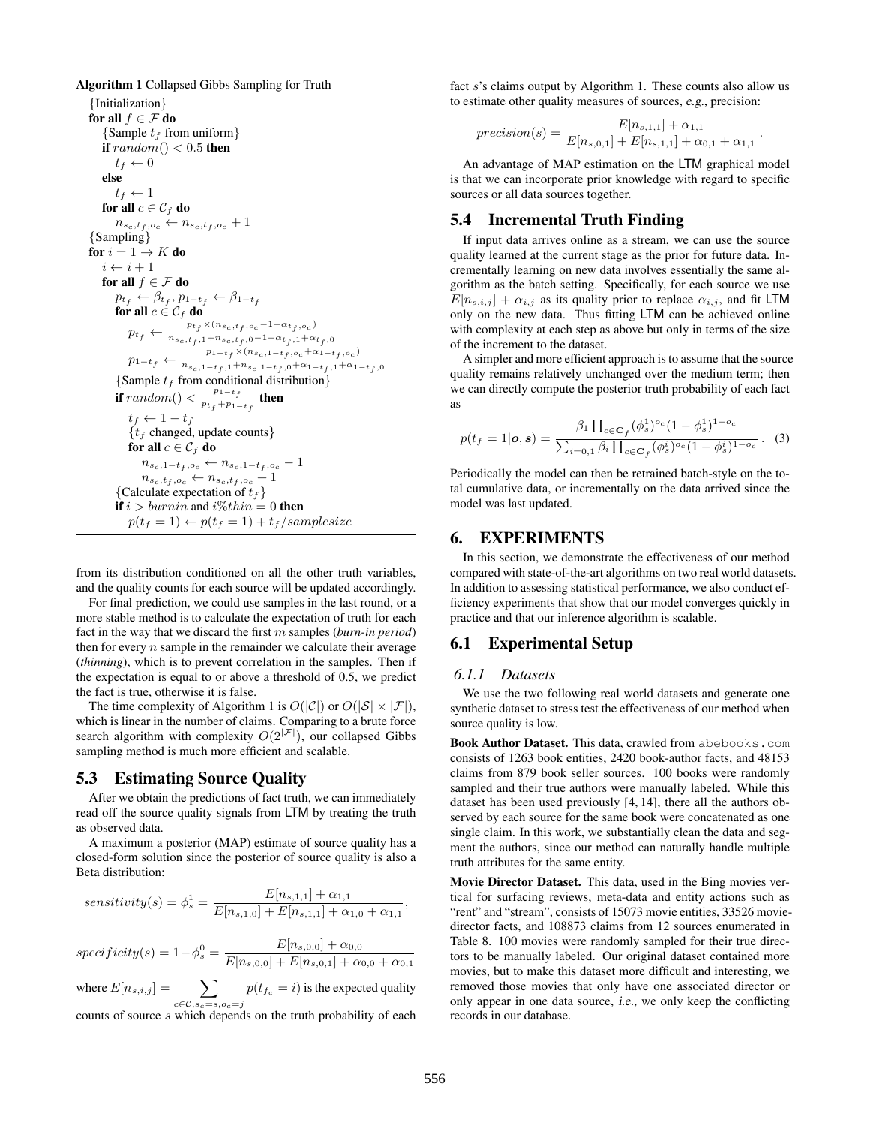#### Algorithm 1 Collapsed Gibbs Sampling for Truth

{Initialization} for all  $f \in \mathcal{F}$  do {Sample  $t_f$  from uniform} if  $random() < 0.5$  then  $t_f \leftarrow 0$ else  $t_f \leftarrow 1$ for all  $c \in \mathcal{C}_f$  do  $n_{s_c,t_f,o_c} \leftarrow n_{s_c,t_f,o_c} + 1$ {Sampling} for  $i = 1 \rightarrow K$  do  $i \leftarrow i + 1$ for all  $f \in \mathcal{F}$  do  $p_{t_f} \leftarrow \beta_{t_f}, p_{1-t_f} \leftarrow \beta_{1-t_f}$ for all  $c \in \mathcal{C}_f$  do  $p_{t_f} \leftarrow \frac{p_{t_f} \times (n_{s_c,t_f,o_c}-1+\alpha_{t_f,o_c})}{n_{s_c,t_f,1}+n_{s_c,t_f,0}-1+\alpha_{t_f,1}+\alpha}$  $n_{s_c,t_f,1} + n_{s_c,t_f,0} - 1 + \alpha_{t_f,1} + \alpha_{t_f,0}$  $p_{1-t_f} \leftarrow \frac{p_{1-t_f} \times (n_{s_c,1-t_f,o_c} + \alpha_{1-t_f,o_c})}{n_{s_c,1-t_f,1} + n_{s_c,1-t_f,0} + \alpha_{1-t_f,1} + \alpha_1}$  $n_{s_c,1-t_f,1}+n_{s_c,1-t_f,0}+\alpha_{1-t_f,1}+\alpha_{1-t_f,0}$ {Sample  $t_f$  from conditional distribution} if random()  $\lt \frac{p_{1-t_f}}{p_{1}+p_1}$  $\frac{r_1 - r_f}{p_{t_f} + p_{1-t_f}}$  then  $t_f \leftarrow 1 - t_f$  ${t<sub>f</sub>}$  changed, update counts} for all  $c \in \mathcal{C}_f$  do  $n_{s_c,1-t_f,o_c} \leftarrow n_{s_c,1-t_f,o_c} - 1$  $n_{s_c,t_f,o_c} \leftarrow n_{s_c,t_f,o_c} + 1$ {Calculate expectation of  $t_f$ } if  $i > burnin$  and  $i\%thin = 0$  then  $p(t_f = 1) \leftarrow p(t_f = 1) + t_f/samplesize$ 

from its distribution conditioned on all the other truth variables, and the quality counts for each source will be updated accordingly.

For final prediction, we could use samples in the last round, or a more stable method is to calculate the expectation of truth for each fact in the way that we discard the first m samples (*burn-in period*) then for every  $n$  sample in the remainder we calculate their average (*thinning*), which is to prevent correlation in the samples. Then if the expectation is equal to or above a threshold of 0.5, we predict the fact is true, otherwise it is false.

The time complexity of Algorithm 1 is  $O(|\mathcal{C}|)$  or  $O(|\mathcal{S}| \times |\mathcal{F}|)$ , which is linear in the number of claims. Comparing to a brute force search algorithm with complexity  $O(2^{|\mathcal{F}|})$ , our collapsed Gibbs sampling method is much more efficient and scalable.

# 5.3 Estimating Source Quality

After we obtain the predictions of fact truth, we can immediately read off the source quality signals from LTM by treating the truth as observed data.

A maximum a posterior (MAP) estimate of source quality has a closed-form solution since the posterior of source quality is also a Beta distribution:

$$
sensitivity(s) = \phi_s^1 = \frac{E[n_{s,1,1}] + \alpha_{1,1}}{E[n_{s,1,0}] + E[n_{s,1,1}] + \alpha_{1,0} + \alpha_{1,1}}
$$

 $specificity(s) = 1 - \phi_s^0 = \frac{E[n_{s,0,0}] + \alpha_{0,0}}{E[n_{s,0,0}] + E[n_{s,0,1}] + \alpha_s^0}$  $E[n_{s,0,0}] + E[n_{s,0,1}] + \alpha_{0,0} + \alpha_{0,1}$ where  $E[n_{s,i,j}] = \sum$  $c \in \mathcal{C}, s_c = s, o_c = j$  $p(t_{f_c} = i)$  is the expected quality counts of source s which depends on the truth probability of each fact s's claims output by Algorithm 1. These counts also allow us to estimate other quality measures of sources, e.g., precision:

$$
precision(s) = \frac{E[n_{s,1,1}] + \alpha_{1,1}}{E[n_{s,0,1}] + E[n_{s,1,1}] + \alpha_{0,1} + \alpha_{1,1}}.
$$

An advantage of MAP estimation on the LTM graphical model is that we can incorporate prior knowledge with regard to specific sources or all data sources together.

# 5.4 Incremental Truth Finding

If input data arrives online as a stream, we can use the source quality learned at the current stage as the prior for future data. Incrementally learning on new data involves essentially the same algorithm as the batch setting. Specifically, for each source we use  $E[n_{s,i,j}] + \alpha_{i,j}$  as its quality prior to replace  $\alpha_{i,j}$ , and fit LTM only on the new data. Thus fitting LTM can be achieved online with complexity at each step as above but only in terms of the size of the increment to the dataset.

A simpler and more efficient approach is to assume that the source quality remains relatively unchanged over the medium term; then we can directly compute the posterior truth probability of each fact as

$$
p(t_f = 1 | \mathbf{o}, \mathbf{s}) = \frac{\beta_1 \prod_{c \in \mathbf{C}_f} (\phi_s^1)^{o_c} (1 - \phi_s^1)^{1 - o_c}}{\sum_{i = 0, 1} \beta_i \prod_{c \in \mathbf{C}_f} (\phi_s^i)^{o_c} (1 - \phi_s^i)^{1 - o_c}}. (3)
$$

Periodically the model can then be retrained batch-style on the total cumulative data, or incrementally on the data arrived since the model was last updated.

# 6. EXPERIMENTS

In this section, we demonstrate the effectiveness of our method compared with state-of-the-art algorithms on two real world datasets. In addition to assessing statistical performance, we also conduct efficiency experiments that show that our model converges quickly in practice and that our inference algorithm is scalable.

# 6.1 Experimental Setup

#### *6.1.1 Datasets*

We use the two following real world datasets and generate one synthetic dataset to stress test the effectiveness of our method when source quality is low.

Book Author Dataset. This data, crawled from abebooks.com consists of 1263 book entities, 2420 book-author facts, and 48153 claims from 879 book seller sources. 100 books were randomly sampled and their true authors were manually labeled. While this dataset has been used previously [4, 14], there all the authors observed by each source for the same book were concatenated as one single claim. In this work, we substantially clean the data and segment the authors, since our method can naturally handle multiple truth attributes for the same entity.

Movie Director Dataset. This data, used in the Bing movies vertical for surfacing reviews, meta-data and entity actions such as "rent" and "stream", consists of 15073 movie entities, 33526 moviedirector facts, and 108873 claims from 12 sources enumerated in Table 8. 100 movies were randomly sampled for their true directors to be manually labeled. Our original dataset contained more movies, but to make this dataset more difficult and interesting, we removed those movies that only have one associated director or only appear in one data source, i.e., we only keep the conflicting records in our database.

,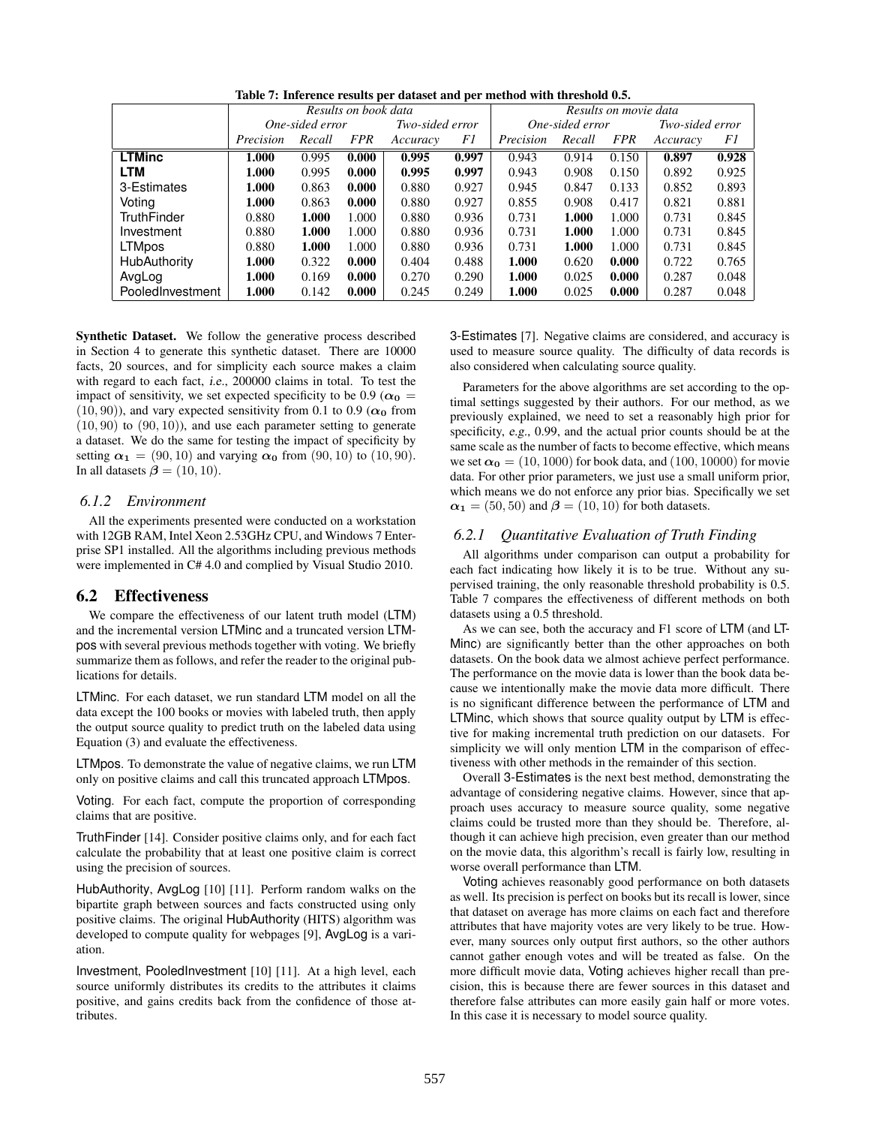|                    | Results on book data |                 |            |                 | Results on movie data |                 |        |            |                 |       |
|--------------------|----------------------|-----------------|------------|-----------------|-----------------------|-----------------|--------|------------|-----------------|-------|
|                    |                      | One-sided error |            | Two-sided error |                       | One-sided error |        |            | Two-sided error |       |
|                    | Precision            | Recall          | <b>FPR</b> | Accuracy        | F1                    | Precision       | Recall | <i>FPR</i> | Accuracy        | F1    |
| <b>LTMinc</b>      | 1.000                | 0.995           | 0.000      | 0.995           | 0.997                 | 0.943           | 0.914  | 0.150      | 0.897           | 0.928 |
| <b>LTM</b>         | 1.000                | 0.995           | 0.000      | 0.995           | 0.997                 | 0.943           | 0.908  | 0.150      | 0.892           | 0.925 |
| 3-Estimates        | 1.000                | 0.863           | 0.000      | 0.880           | 0.927                 | 0.945           | 0.847  | 0.133      | 0.852           | 0.893 |
| Voting             | 1.000                | 0.863           | 0.000      | 0.880           | 0.927                 | 0.855           | 0.908  | 0.417      | 0.821           | 0.881 |
| <b>TruthFinder</b> | 0.880                | 1.000           | 1.000      | 0.880           | 0.936                 | 0.731           | 1.000  | 1.000      | 0.731           | 0.845 |
| Investment         | 0.880                | 1.000           | 1.000      | 0.880           | 0.936                 | 0.731           | 1.000  | 1.000      | 0.731           | 0.845 |
| <b>LTMpos</b>      | 0.880                | 1.000           | 1.000      | 0.880           | 0.936                 | 0.731           | 1.000  | 1.000      | 0.731           | 0.845 |
| HubAuthority       | 1.000                | 0.322           | 0.000      | 0.404           | 0.488                 | 1.000           | 0.620  | 0.000      | 0.722           | 0.765 |
| AvgLog             | 1.000                | 0.169           | 0.000      | 0.270           | 0.290                 | 1.000           | 0.025  | 0.000      | 0.287           | 0.048 |
| PooledInvestment   | 1.000                | 0.142           | 0.000      | 0.245           | 0.249                 | 1.000           | 0.025  | 0.000      | 0.287           | 0.048 |

Table 7: Inference results per dataset and per method with threshold 0.5.

Synthetic Dataset. We follow the generative process described in Section 4 to generate this synthetic dataset. There are 10000 facts, 20 sources, and for simplicity each source makes a claim with regard to each fact, i.e., 200000 claims in total. To test the impact of sensitivity, we set expected specificity to be 0.9 ( $\alpha_0$  =  $(10, 90)$ ), and vary expected sensitivity from 0.1 to 0.9 ( $\alpha_0$  from  $(10, 90)$  to  $(90, 10)$ , and use each parameter setting to generate a dataset. We do the same for testing the impact of specificity by setting  $\alpha_1 = (90, 10)$  and varying  $\alpha_0$  from  $(90, 10)$  to  $(10, 90)$ . In all datasets  $\beta = (10, 10)$ .

#### *6.1.2 Environment*

All the experiments presented were conducted on a workstation with 12GB RAM, Intel Xeon 2.53GHz CPU, and Windows 7 Enterprise SP1 installed. All the algorithms including previous methods were implemented in C# 4.0 and complied by Visual Studio 2010.

#### 6.2 Effectiveness

We compare the effectiveness of our latent truth model (LTM) and the incremental version LTMinc and a truncated version LTMpos with several previous methods together with voting. We briefly summarize them as follows, and refer the reader to the original publications for details.

LTMinc. For each dataset, we run standard LTM model on all the data except the 100 books or movies with labeled truth, then apply the output source quality to predict truth on the labeled data using Equation (3) and evaluate the effectiveness.

LTMpos. To demonstrate the value of negative claims, we run LTM only on positive claims and call this truncated approach LTMpos.

Voting. For each fact, compute the proportion of corresponding claims that are positive.

TruthFinder [14]. Consider positive claims only, and for each fact calculate the probability that at least one positive claim is correct using the precision of sources.

HubAuthority, AvgLog [10] [11]. Perform random walks on the bipartite graph between sources and facts constructed using only positive claims. The original HubAuthority (HITS) algorithm was developed to compute quality for webpages [9], AvgLog is a variation.

Investment, PooledInvestment [10] [11]. At a high level, each source uniformly distributes its credits to the attributes it claims positive, and gains credits back from the confidence of those attributes.

3-Estimates [7]. Negative claims are considered, and accuracy is used to measure source quality. The difficulty of data records is also considered when calculating source quality.

Parameters for the above algorithms are set according to the optimal settings suggested by their authors. For our method, as we previously explained, we need to set a reasonably high prior for specificity, e.g., 0.99, and the actual prior counts should be at the same scale as the number of facts to become effective, which means we set  $\alpha_0 = (10, 1000)$  for book data, and  $(100, 10000)$  for movie data. For other prior parameters, we just use a small uniform prior, which means we do not enforce any prior bias. Specifically we set  $\alpha_1 = (50, 50)$  and  $\beta = (10, 10)$  for both datasets.

#### *6.2.1 Quantitative Evaluation of Truth Finding*

All algorithms under comparison can output a probability for each fact indicating how likely it is to be true. Without any supervised training, the only reasonable threshold probability is 0.5. Table 7 compares the effectiveness of different methods on both datasets using a 0.5 threshold.

As we can see, both the accuracy and F1 score of LTM (and LT-Minc) are significantly better than the other approaches on both datasets. On the book data we almost achieve perfect performance. The performance on the movie data is lower than the book data because we intentionally make the movie data more difficult. There is no significant difference between the performance of LTM and LTMinc, which shows that source quality output by LTM is effective for making incremental truth prediction on our datasets. For simplicity we will only mention LTM in the comparison of effectiveness with other methods in the remainder of this section.

Overall 3-Estimates is the next best method, demonstrating the advantage of considering negative claims. However, since that approach uses accuracy to measure source quality, some negative claims could be trusted more than they should be. Therefore, although it can achieve high precision, even greater than our method on the movie data, this algorithm's recall is fairly low, resulting in worse overall performance than LTM.

Voting achieves reasonably good performance on both datasets as well. Its precision is perfect on books but its recall is lower, since that dataset on average has more claims on each fact and therefore attributes that have majority votes are very likely to be true. However, many sources only output first authors, so the other authors cannot gather enough votes and will be treated as false. On the more difficult movie data, Voting achieves higher recall than precision, this is because there are fewer sources in this dataset and therefore false attributes can more easily gain half or more votes. In this case it is necessary to model source quality.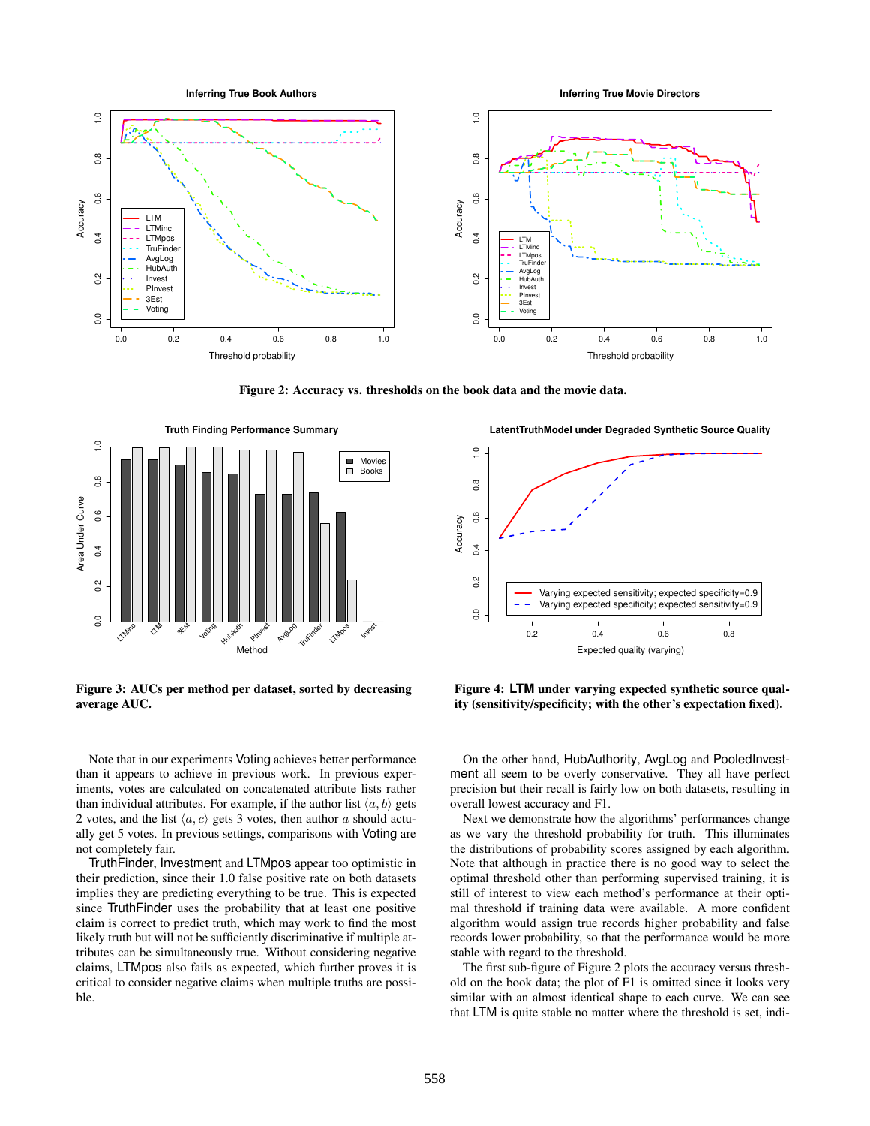

Figure 2: Accuracy vs. thresholds on the book data and the movie data.



Figure 3: AUCs per method per dataset, sorted by decreasing average AUC.

Note that in our experiments Voting achieves better performance than it appears to achieve in previous work. In previous experiments, votes are calculated on concatenated attribute lists rather than individual attributes. For example, if the author list  $\langle a, b \rangle$  gets 2 votes, and the list  $\langle a, c \rangle$  gets 3 votes, then author a should actually get 5 votes. In previous settings, comparisons with Voting are not completely fair.

TruthFinder, Investment and LTMpos appear too optimistic in their prediction, since their 1.0 false positive rate on both datasets implies they are predicting everything to be true. This is expected since TruthFinder uses the probability that at least one positive claim is correct to predict truth, which may work to find the most likely truth but will not be sufficiently discriminative if multiple attributes can be simultaneously true. Without considering negative claims, LTMpos also fails as expected, which further proves it is critical to consider negative claims when multiple truths are possible.

**LatentTruthModel under Degraded Synthetic Source Quality**



Figure 4: **LTM** under varying expected synthetic source quality (sensitivity/specificity; with the other's expectation fixed).

On the other hand, HubAuthority, AvgLog and PooledInvestment all seem to be overly conservative. They all have perfect precision but their recall is fairly low on both datasets, resulting in overall lowest accuracy and F1.

Next we demonstrate how the algorithms' performances change as we vary the threshold probability for truth. This illuminates the distributions of probability scores assigned by each algorithm. Note that although in practice there is no good way to select the optimal threshold other than performing supervised training, it is still of interest to view each method's performance at their optimal threshold if training data were available. A more confident algorithm would assign true records higher probability and false records lower probability, so that the performance would be more stable with regard to the threshold.

The first sub-figure of Figure 2 plots the accuracy versus threshold on the book data; the plot of F1 is omitted since it looks very similar with an almost identical shape to each curve. We can see that LTM is quite stable no matter where the threshold is set, indi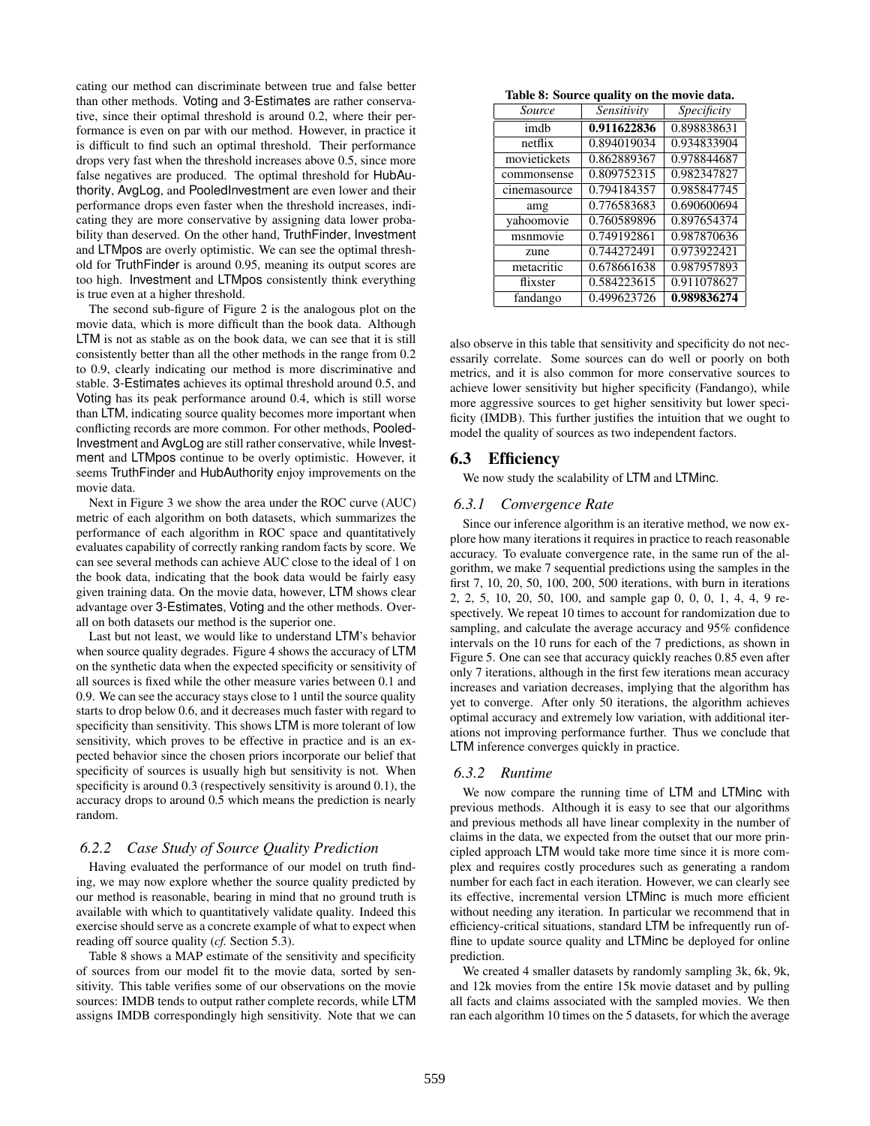cating our method can discriminate between true and false better than other methods. Voting and 3-Estimates are rather conservative, since their optimal threshold is around 0.2, where their performance is even on par with our method. However, in practice it is difficult to find such an optimal threshold. Their performance drops very fast when the threshold increases above 0.5, since more false negatives are produced. The optimal threshold for HubAuthority, AvgLog, and PooledInvestment are even lower and their performance drops even faster when the threshold increases, indicating they are more conservative by assigning data lower probability than deserved. On the other hand, TruthFinder, Investment and LTMpos are overly optimistic. We can see the optimal threshold for TruthFinder is around 0.95, meaning its output scores are too high. Investment and LTMpos consistently think everything is true even at a higher threshold.

The second sub-figure of Figure 2 is the analogous plot on the movie data, which is more difficult than the book data. Although LTM is not as stable as on the book data, we can see that it is still consistently better than all the other methods in the range from 0.2 to 0.9, clearly indicating our method is more discriminative and stable. 3-Estimates achieves its optimal threshold around 0.5, and Voting has its peak performance around 0.4, which is still worse than LTM, indicating source quality becomes more important when conflicting records are more common. For other methods, Pooled-Investment and AvgLog are still rather conservative, while Investment and LTMpos continue to be overly optimistic. However, it seems TruthFinder and HubAuthority enjoy improvements on the movie data.

Next in Figure 3 we show the area under the ROC curve (AUC) metric of each algorithm on both datasets, which summarizes the performance of each algorithm in ROC space and quantitatively evaluates capability of correctly ranking random facts by score. We can see several methods can achieve AUC close to the ideal of 1 on the book data, indicating that the book data would be fairly easy given training data. On the movie data, however, LTM shows clear advantage over 3-Estimates, Voting and the other methods. Overall on both datasets our method is the superior one.

Last but not least, we would like to understand LTM's behavior when source quality degrades. Figure 4 shows the accuracy of LTM on the synthetic data when the expected specificity or sensitivity of all sources is fixed while the other measure varies between 0.1 and 0.9. We can see the accuracy stays close to 1 until the source quality starts to drop below 0.6, and it decreases much faster with regard to specificity than sensitivity. This shows LTM is more tolerant of low sensitivity, which proves to be effective in practice and is an expected behavior since the chosen priors incorporate our belief that specificity of sources is usually high but sensitivity is not. When specificity is around 0.3 (respectively sensitivity is around 0.1), the accuracy drops to around 0.5 which means the prediction is nearly random.

#### *6.2.2 Case Study of Source Quality Prediction*

Having evaluated the performance of our model on truth finding, we may now explore whether the source quality predicted by our method is reasonable, bearing in mind that no ground truth is available with which to quantitatively validate quality. Indeed this exercise should serve as a concrete example of what to expect when reading off source quality (*cf.* Section 5.3).

Table 8 shows a MAP estimate of the sensitivity and specificity of sources from our model fit to the movie data, sorted by sensitivity. This table verifies some of our observations on the movie sources: IMDB tends to output rather complete records, while LTM assigns IMDB correspondingly high sensitivity. Note that we can

Table 8: Source quality on the movie data.

| Source       | Sensitivity | Specificity |  |  |  |
|--------------|-------------|-------------|--|--|--|
| imdh         | 0.911622836 | 0.898838631 |  |  |  |
| netflix      | 0.894019034 | 0.934833904 |  |  |  |
| movietickets | 0.862889367 | 0.978844687 |  |  |  |
| commonsense  | 0.809752315 | 0.982347827 |  |  |  |
| cinemasource | 0.794184357 | 0.985847745 |  |  |  |
| amg          | 0.776583683 | 0.690600694 |  |  |  |
| yahoomovie   | 0.760589896 | 0.897654374 |  |  |  |
| msnmovie     | 0.749192861 | 0.987870636 |  |  |  |
| zune         | 0.744272491 | 0.973922421 |  |  |  |
| metacritic   | 0.678661638 | 0.987957893 |  |  |  |
| flixster     | 0.584223615 | 0.911078627 |  |  |  |
| fandango     | 0.499623726 | 0.989836274 |  |  |  |

also observe in this table that sensitivity and specificity do not necessarily correlate. Some sources can do well or poorly on both metrics, and it is also common for more conservative sources to achieve lower sensitivity but higher specificity (Fandango), while more aggressive sources to get higher sensitivity but lower specificity (IMDB). This further justifies the intuition that we ought to model the quality of sources as two independent factors.

# 6.3 Efficiency

We now study the scalability of LTM and LTMinc.

#### *6.3.1 Convergence Rate*

Since our inference algorithm is an iterative method, we now explore how many iterations it requires in practice to reach reasonable accuracy. To evaluate convergence rate, in the same run of the algorithm, we make 7 sequential predictions using the samples in the first 7, 10, 20, 50, 100, 200, 500 iterations, with burn in iterations 2, 2, 5, 10, 20, 50, 100, and sample gap 0, 0, 0, 1, 4, 4, 9 respectively. We repeat 10 times to account for randomization due to sampling, and calculate the average accuracy and 95% confidence intervals on the 10 runs for each of the 7 predictions, as shown in Figure 5. One can see that accuracy quickly reaches 0.85 even after only 7 iterations, although in the first few iterations mean accuracy increases and variation decreases, implying that the algorithm has yet to converge. After only 50 iterations, the algorithm achieves optimal accuracy and extremely low variation, with additional iterations not improving performance further. Thus we conclude that LTM inference converges quickly in practice.

#### *6.3.2 Runtime*

We now compare the running time of LTM and LTMinc with previous methods. Although it is easy to see that our algorithms and previous methods all have linear complexity in the number of claims in the data, we expected from the outset that our more principled approach LTM would take more time since it is more complex and requires costly procedures such as generating a random number for each fact in each iteration. However, we can clearly see its effective, incremental version LTMinc is much more efficient without needing any iteration. In particular we recommend that in efficiency-critical situations, standard LTM be infrequently run offline to update source quality and LTMinc be deployed for online prediction.

We created 4 smaller datasets by randomly sampling 3k, 6k, 9k, and 12k movies from the entire 15k movie dataset and by pulling all facts and claims associated with the sampled movies. We then ran each algorithm 10 times on the 5 datasets, for which the average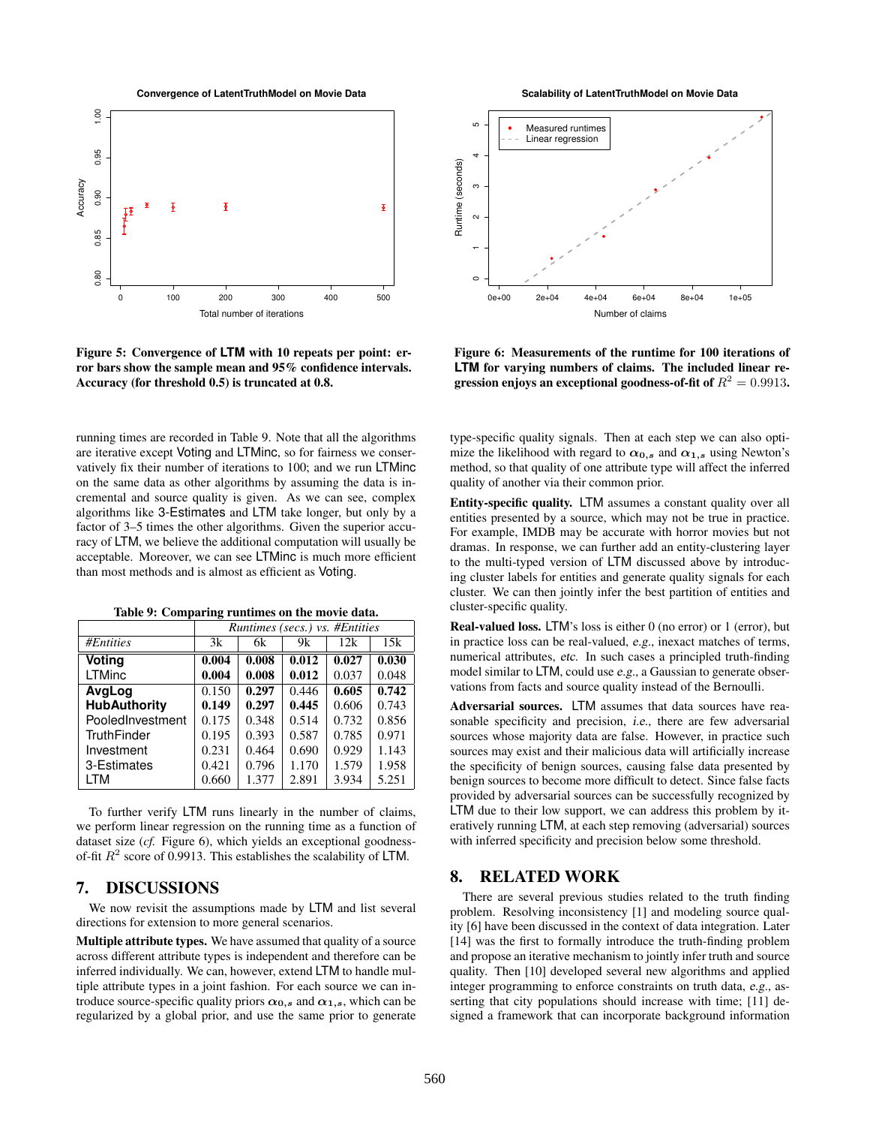**Convergence of LatentTruthModel on Movie Data**



Figure 5: Convergence of **LTM** with 10 repeats per point: error bars show the sample mean and 95% confidence intervals. Accuracy (for threshold 0.5) is truncated at 0.8.

running times are recorded in Table 9. Note that all the algorithms are iterative except Voting and LTMinc, so for fairness we conservatively fix their number of iterations to 100; and we run LTMinc on the same data as other algorithms by assuming the data is incremental and source quality is given. As we can see, complex algorithms like 3-Estimates and LTM take longer, but only by a factor of 3–5 times the other algorithms. Given the superior accuracy of LTM, we believe the additional computation will usually be acceptable. Moreover, we can see LTMinc is much more efficient than most methods and is almost as efficient as Voting.

|  | Table 9: Comparing runtimes on the movie data. |  |  |  |  |
|--|------------------------------------------------|--|--|--|--|
|--|------------------------------------------------|--|--|--|--|

|                     | Runtimes (secs.) vs. #Entities |       |       |       |       |  |  |
|---------------------|--------------------------------|-------|-------|-------|-------|--|--|
| <b>#Entities</b>    | 3k                             | 6k    | 9k    | 12k   | 15k   |  |  |
| Voting              | 0.004                          | 0.008 | 0.012 | 0.027 | 0.030 |  |  |
| LTMinc              | 0.004                          | 0.008 | 0.012 | 0.037 | 0.048 |  |  |
| AvgLog              | 0.150                          | 0.297 | 0.446 | 0.605 | 0.742 |  |  |
| <b>HubAuthority</b> | 0.149                          | 0.297 | 0.445 | 0.606 | 0.743 |  |  |
| PooledInvestment    | 0.175                          | 0.348 | 0.514 | 0.732 | 0.856 |  |  |
| TruthFinder         | 0.195                          | 0.393 | 0.587 | 0.785 | 0.971 |  |  |
| Investment          | 0.231                          | 0.464 | 0.690 | 0.929 | 1.143 |  |  |
| 3-Estimates         | 0.421                          | 0.796 | 1.170 | 1.579 | 1.958 |  |  |
| LTM                 | 0.660                          | 1.377 | 2.891 | 3.934 | 5.251 |  |  |

To further verify LTM runs linearly in the number of claims, we perform linear regression on the running time as a function of dataset size (*cf.* Figure 6), which yields an exceptional goodnessof-fit  $R^2$  score of 0.9913. This establishes the scalability of LTM.

# 7. DISCUSSIONS

We now revisit the assumptions made by LTM and list several directions for extension to more general scenarios.

Multiple attribute types. We have assumed that quality of a source across different attribute types is independent and therefore can be inferred individually. We can, however, extend LTM to handle multiple attribute types in a joint fashion. For each source we can introduce source-specific quality priors  $\alpha_{0,s}$  and  $\alpha_{1,s}$ , which can be regularized by a global prior, and use the same prior to generate

**Scalability of LatentTruthModel on Movie Data**



Figure 6: Measurements of the runtime for 100 iterations of **LTM** for varying numbers of claims. The included linear regression enjoys an exceptional goodness-of-fit of  $R^2=0.9913$ .

type-specific quality signals. Then at each step we can also optimize the likelihood with regard to  $\alpha_{0,s}$  and  $\alpha_{1,s}$  using Newton's method, so that quality of one attribute type will affect the inferred quality of another via their common prior.

Entity-specific quality. LTM assumes a constant quality over all entities presented by a source, which may not be true in practice. For example, IMDB may be accurate with horror movies but not dramas. In response, we can further add an entity-clustering layer to the multi-typed version of LTM discussed above by introducing cluster labels for entities and generate quality signals for each cluster. We can then jointly infer the best partition of entities and cluster-specific quality.

Real-valued loss. LTM's loss is either 0 (no error) or 1 (error), but in practice loss can be real-valued, e.g., inexact matches of terms, numerical attributes, etc. In such cases a principled truth-finding model similar to LTM, could use e.g., a Gaussian to generate observations from facts and source quality instead of the Bernoulli.

Adversarial sources. LTM assumes that data sources have reasonable specificity and precision, i.e., there are few adversarial sources whose majority data are false. However, in practice such sources may exist and their malicious data will artificially increase the specificity of benign sources, causing false data presented by benign sources to become more difficult to detect. Since false facts provided by adversarial sources can be successfully recognized by LTM due to their low support, we can address this problem by iteratively running LTM, at each step removing (adversarial) sources with inferred specificity and precision below some threshold.

# 8. RELATED WORK

There are several previous studies related to the truth finding problem. Resolving inconsistency [1] and modeling source quality [6] have been discussed in the context of data integration. Later [14] was the first to formally introduce the truth-finding problem and propose an iterative mechanism to jointly infer truth and source quality. Then [10] developed several new algorithms and applied integer programming to enforce constraints on truth data, e.g., asserting that city populations should increase with time; [11] designed a framework that can incorporate background information